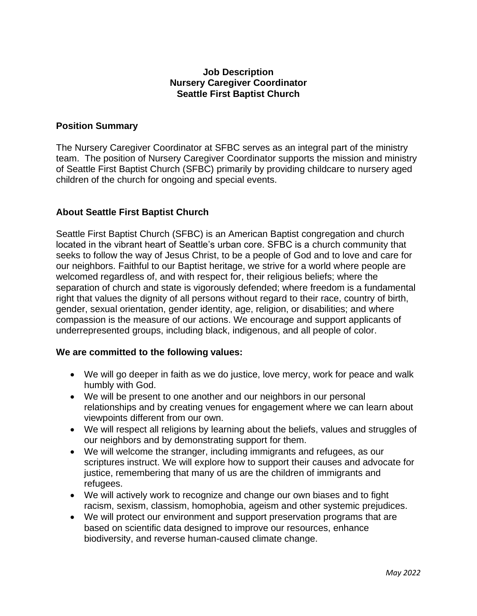### **Job Description Nursery Caregiver Coordinator Seattle First Baptist Church**

### **Position Summary**

The Nursery Caregiver Coordinator at SFBC serves as an integral part of the ministry team. The position of Nursery Caregiver Coordinator supports the mission and ministry of Seattle First Baptist Church (SFBC) primarily by providing childcare to nursery aged children of the church for ongoing and special events.

# **About Seattle First Baptist Church**

Seattle First Baptist Church (SFBC) is an American Baptist congregation and church located in the vibrant heart of Seattle's urban core. SFBC is a church community that seeks to follow the way of Jesus Christ, to be a people of God and to love and care for our neighbors. Faithful to our Baptist heritage, we strive for a world where people are welcomed regardless of, and with respect for, their religious beliefs; where the separation of church and state is vigorously defended; where freedom is a fundamental right that values the dignity of all persons without regard to their race, country of birth, gender, sexual orientation, gender identity, age, religion, or disabilities; and where compassion is the measure of our actions. We encourage and support applicants of underrepresented groups, including black, indigenous, and all people of color.

### **We are committed to the following values:**

- We will go deeper in faith as we do justice, love mercy, work for peace and walk humbly with God.
- We will be present to one another and our neighbors in our personal relationships and by creating venues for engagement where we can learn about viewpoints different from our own.
- We will respect all religions by learning about the beliefs, values and struggles of our neighbors and by demonstrating support for them.
- We will welcome the stranger, including immigrants and refugees, as our scriptures instruct. We will explore how to support their causes and advocate for justice, remembering that many of us are the children of immigrants and refugees.
- We will actively work to recognize and change our own biases and to fight racism, sexism, classism, homophobia, ageism and other systemic prejudices.
- We will protect our environment and support preservation programs that are based on scientific data designed to improve our resources, enhance biodiversity, and reverse human-caused climate change.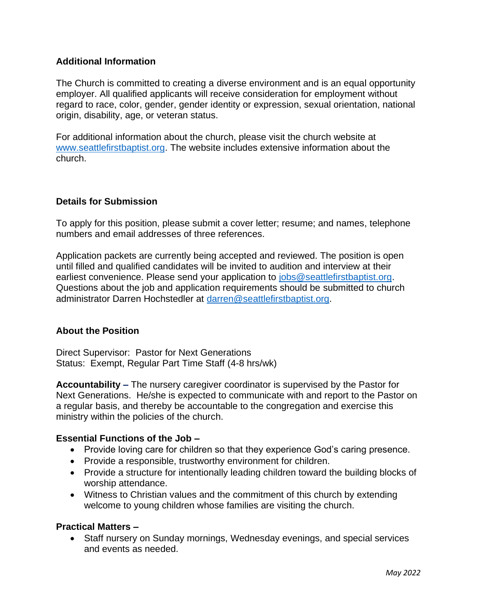## **Additional Information**

The Church is committed to creating a diverse environment and is an equal opportunity employer. All qualified applicants will receive consideration for employment without regard to race, color, gender, gender identity or expression, sexual orientation, national origin, disability, age, or veteran status.

For additional information about the church, please visit the church website at [www.seattlefirstbaptist.org.](http://www.seattlefirstbaptist.org/) The website includes extensive information about the church.

### **Details for Submission**

To apply for this position, please submit a cover letter; resume; and names, telephone numbers and email addresses of three references.

Application packets are currently being accepted and reviewed. The position is open until filled and qualified candidates will be invited to audition and interview at their earliest convenience. Please send your application to [jobs@seattlefirstbaptist.org.](mailto:jobs@seattlefirstbaptist.org) Questions about the job and application requirements should be submitted to church administrator Darren Hochstedler at [darren@seattlefirstbaptist.org.](mailto:darren@seattlefirstbaptist.org)

### **About the Position**

Direct Supervisor: Pastor for Next Generations Status: Exempt, Regular Part Time Staff (4-8 hrs/wk)

**Accountability –** The nursery caregiver coordinator is supervised by the Pastor for Next Generations. He/she is expected to communicate with and report to the Pastor on a regular basis, and thereby be accountable to the congregation and exercise this ministry within the policies of the church.

### **Essential Functions of the Job –**

- Provide loving care for children so that they experience God's caring presence.
- Provide a responsible, trustworthy environment for children.
- Provide a structure for intentionally leading children toward the building blocks of worship attendance.
- Witness to Christian values and the commitment of this church by extending welcome to young children whose families are visiting the church.

#### **Practical Matters –**

• Staff nursery on Sunday mornings, Wednesday evenings, and special services and events as needed.